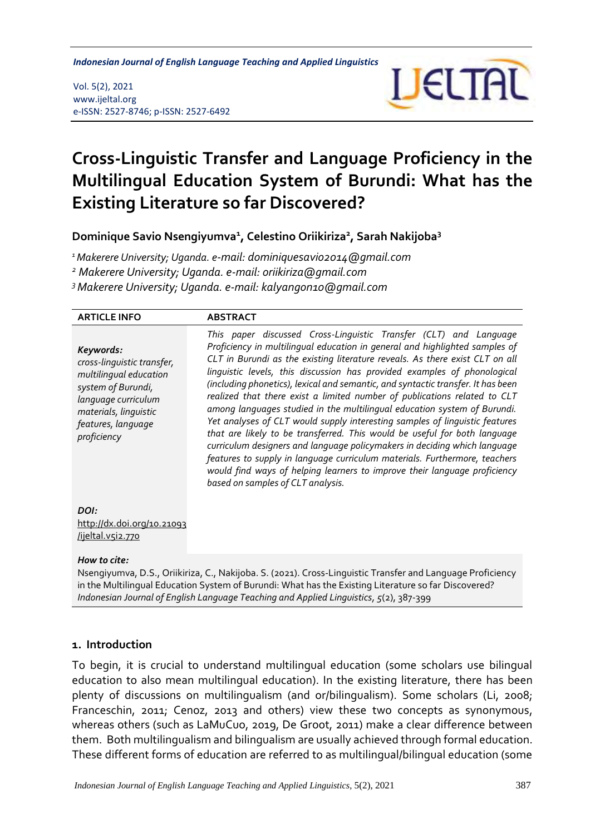*Cross-Linguistic Transfer and Language Proficiency in the Multilingual Education System Indonesian Journal of English Language Teaching and Applied Linguistics*

#### Vol. 5(2), 2021 www.ijeltal.org e-ISSN: 2527-8746; p-ISSN: 2527-6492



# **Cross-Linguistic Transfer and Language Proficiency in the Multilingual Education System of Burundi: What has the Existing Literature so far Discovered?**

**Dominique Savio Nsengiyumva<sup>1</sup> , Celestino Oriikiriza<sup>2</sup> , Sarah Nakijoba<sup>3</sup>**

*<sup>1</sup>Makerere University; Uganda. e-mail: dominiquesavio2014@gmail.com*

*<sup>2</sup> Makerere University; Uganda. e-mail: oriikiriza@gmail.com*

*<sup>3</sup>Makerere University; Uganda. e-mail: kalyangon10@gmail.com*

| <b>ARTICLE INFO</b>                                                                                                                                                          | <b>ABSTRACT</b>                                                                                                                                                                                                                                                                                                                                                                                                                                                                                                                                                                                                                                                                                                                                                                                                                                                                                                                                                                                    |
|------------------------------------------------------------------------------------------------------------------------------------------------------------------------------|----------------------------------------------------------------------------------------------------------------------------------------------------------------------------------------------------------------------------------------------------------------------------------------------------------------------------------------------------------------------------------------------------------------------------------------------------------------------------------------------------------------------------------------------------------------------------------------------------------------------------------------------------------------------------------------------------------------------------------------------------------------------------------------------------------------------------------------------------------------------------------------------------------------------------------------------------------------------------------------------------|
| Keywords:<br>cross-linguistic transfer,<br>multilingual education<br>system of Burundi,<br>language curriculum<br>materials, linguistic<br>features, language<br>proficiency | This paper discussed Cross-Linguistic Transfer (CLT) and Language<br>Proficiency in multilingual education in general and highlighted samples of<br>CLT in Burundi as the existing literature reveals. As there exist CLT on all<br>linguistic levels, this discussion has provided examples of phonological<br>(including phonetics), lexical and semantic, and syntactic transfer. It has been<br>realized that there exist a limited number of publications related to CLT<br>among languages studied in the multilingual education system of Burundi.<br>Yet analyses of CLT would supply interesting samples of linguistic features<br>that are likely to be transferred. This would be useful for both language<br>curriculum designers and language policymakers in deciding which language<br>features to supply in language curriculum materials. Furthermore, teachers<br>would find ways of helping learners to improve their language proficiency<br>based on samples of CLT analysis. |
| DOI:<br>http://dx.doi.org/10.21093<br>/ijeltal.v5i2.770                                                                                                                      |                                                                                                                                                                                                                                                                                                                                                                                                                                                                                                                                                                                                                                                                                                                                                                                                                                                                                                                                                                                                    |
| How to $circ$                                                                                                                                                                |                                                                                                                                                                                                                                                                                                                                                                                                                                                                                                                                                                                                                                                                                                                                                                                                                                                                                                                                                                                                    |

*How to cite:*

Nsengiyumva, D.S., Oriikiriza, C., Nakijoba. S. (2021). Cross-Linguistic Transfer and Language Proficiency in the Multilingual Education System of Burundi: What has the Existing Literature so far Discovered? *Indonesian Journal of English Language Teaching and Applied Linguistics, 5*(2), 387-399

## **1. Introduction**

To begin, it is crucial to understand multilingual education (some scholars use bilingual education to also mean multilingual education). In the existing literature, there has been plenty of discussions on multilingualism (and or/bilingualism). Some scholars (Li, 2008; Franceschin, 2011; Cenoz, 2013 and others) view these two concepts as synonymous, whereas others (such as LaMuCuo, 2019, De Groot, 2011) make a clear difference between them. Both multilingualism and bilingualism are usually achieved through formal education. These different forms of education are referred to as multilingual/bilingual education (some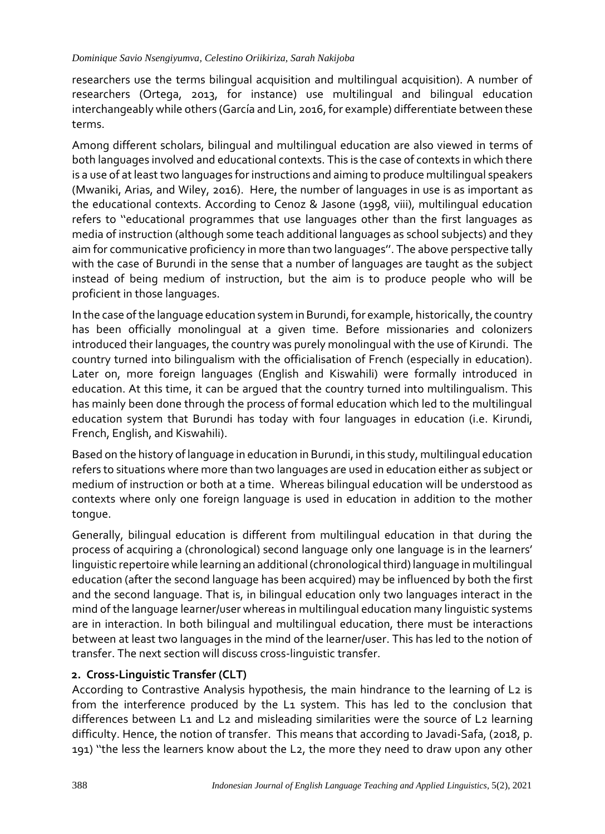researchers use the terms bilingual acquisition and multilingual acquisition). A number of researchers (Ortega, 2013, for instance) use multilingual and bilingual education interchangeably while others (García and Lin, 2016, for example) differentiate between these terms.

Among different scholars, bilingual and multilingual education are also viewed in terms of both languages involved and educational contexts. This is the case of contexts in which there is a use of at least two languages for instructions and aiming to produce multilingual speakers (Mwaniki, Arias, and Wiley, 2016). Here, the number of languages in use is as important as the educational contexts. According to Cenoz & Jasone (1998, viii), multilingual education refers to ''educational programmes that use languages other than the first languages as media of instruction (although some teach additional languages as school subjects) and they aim for communicative proficiency in more than two languages''. The above perspective tally with the case of Burundi in the sense that a number of languages are taught as the subject instead of being medium of instruction, but the aim is to produce people who will be proficient in those languages.

In the case of the language education system in Burundi, for example, historically, the country has been officially monolingual at a given time. Before missionaries and colonizers introduced their languages, the country was purely monolingual with the use of Kirundi. The country turned into bilingualism with the officialisation of French (especially in education). Later on, more foreign languages (English and Kiswahili) were formally introduced in education. At this time, it can be argued that the country turned into multilingualism. This has mainly been done through the process of formal education which led to the multilingual education system that Burundi has today with four languages in education (i.e. Kirundi, French, English, and Kiswahili).

Based on the history of language in education in Burundi, in this study, multilingual education refers to situations where more than two languages are used in education either as subject or medium of instruction or both at a time. Whereas bilingual education will be understood as contexts where only one foreign language is used in education in addition to the mother tongue.

Generally, bilingual education is different from multilingual education in that during the process of acquiring a (chronological) second language only one language is in the learners' linguistic repertoire while learning an additional (chronological third) language in multilingual education (after the second language has been acquired) may be influenced by both the first and the second language. That is, in bilingual education only two languages interact in the mind of the language learner/user whereas in multilingual education many linguistic systems are in interaction. In both bilingual and multilingual education, there must be interactions between at least two languages in the mind of the learner/user. This has led to the notion of transfer. The next section will discuss cross-linguistic transfer.

## **2. Cross-Linguistic Transfer (CLT)**

According to Contrastive Analysis hypothesis, the main hindrance to the learning of L2 is from the interference produced by the L1 system. This has led to the conclusion that differences between L1 and L2 and misleading similarities were the source of L2 learning difficulty. Hence, the notion of transfer. This means that according to Javadi-Safa, (2018, p. 191) ''the less the learners know about the L2, the more they need to draw upon any other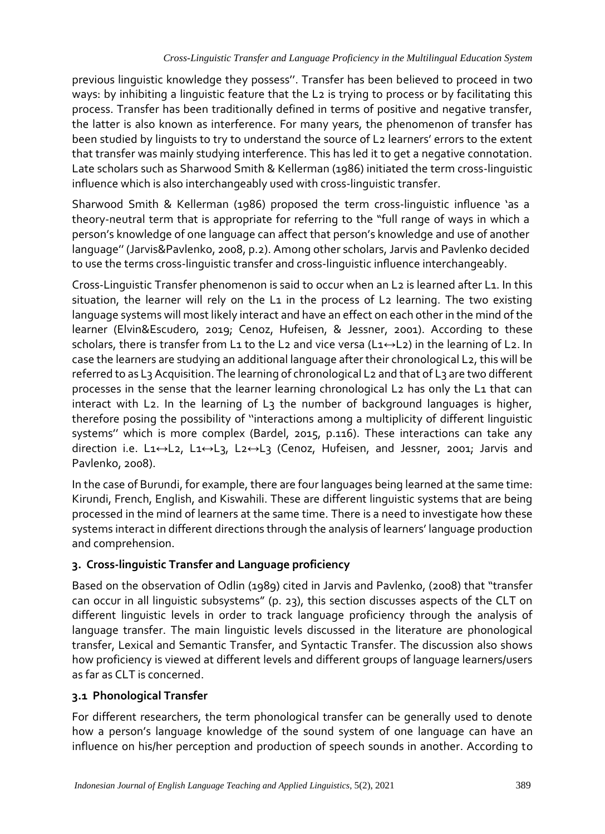previous linguistic knowledge they possess''. Transfer has been believed to proceed in two ways: by inhibiting a linguistic feature that the L<sub>2</sub> is trying to process or by facilitating this process. Transfer has been traditionally defined in terms of positive and negative transfer, the latter is also known as interference. For many years, the phenomenon of transfer has been studied by linguists to try to understand the source of L2 learners' errors to the extent that transfer was mainly studying interference. This has led it to get a negative connotation. Late scholars such as Sharwood Smith & Kellerman (1986) initiated the term cross-linguistic influence which is also interchangeably used with cross-linguistic transfer.

Sharwood Smith & Kellerman (1986) proposed the term cross-linguistic influence 'as a theory-neutral term that is appropriate for referring to the "full range of ways in which a person's knowledge of one language can affect that person's knowledge and use of another language'' (Jarvis&Pavlenko, 2008, p.2). Among other scholars, Jarvis and Pavlenko decided to use the terms cross-linguistic transfer and cross-linguistic influence interchangeably.

Cross-Linguistic Transfer phenomenon is said to occur when an L2 is learned after L1. In this situation, the learner will rely on the L1 in the process of L2 learning. The two existing language systems will most likely interact and have an effect on each other in the mind of the learner (Elvin&Escudero, 2019; Cenoz, Hufeisen, & Jessner, 2001). According to these scholars, there is transfer from L1 to the L2 and vice versa (L1 $\leftrightarrow$ L2) in the learning of L2. In case the learners are studying an additional language after their chronological L2, this will be referred to as L<sub>3</sub> Acquisition. The learning of chronological L<sub>2</sub> and that of L<sub>3</sub> are two different processes in the sense that the learner learning chronological L2 has only the L1 that can interact with L2. In the learning of L<sub>3</sub> the number of background languages is higher, therefore posing the possibility of ''interactions among a multiplicity of different linguistic systems'' which is more complex (Bardel, 2015, p.116). These interactions can take any direction i.e. L1↔L2, L1↔L3, L2↔L3 (Cenoz, Hufeisen, and Jessner, 2001; Jarvis and Pavlenko, 2008).

In the case of Burundi, for example, there are four languages being learned at the same time: Kirundi, French, English, and Kiswahili. These are different linguistic systems that are being processed in the mind of learners at the same time. There is a need to investigate how these systems interact in different directions through the analysis of learners' language production and comprehension.

# **3. Cross-linguistic Transfer and Language proficiency**

Based on the observation of Odlin (1989) cited in Jarvis and Pavlenko, (2008) that "transfer can occur in all linguistic subsystems" (p. 23), this section discusses aspects of the CLT on different linguistic levels in order to track language proficiency through the analysis of language transfer. The main linguistic levels discussed in the literature are phonological transfer, Lexical and Semantic Transfer, and Syntactic Transfer. The discussion also shows how proficiency is viewed at different levels and different groups of language learners/users as far as CLT is concerned.

# **3.1 Phonological Transfer**

For different researchers, the term phonological transfer can be generally used to denote how a person's language knowledge of the sound system of one language can have an influence on his/her perception and production of speech sounds in another. According to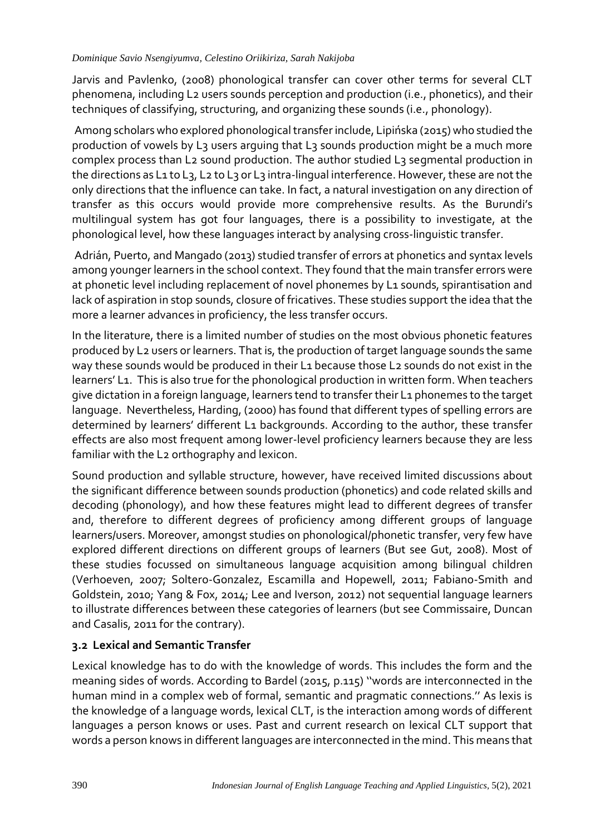Jarvis and Pavlenko, (2008) phonological transfer can cover other terms for several CLT phenomena, including L2 users sounds perception and production (i.e., phonetics), and their techniques of classifying, structuring, and organizing these sounds (i.e., phonology).

Among scholars who explored phonological transfer include, Lipińska (2015) who studied the production of vowels by L3 users arguing that L3 sounds production might be a much more complex process than L2 sound production. The author studied L3 segmental production in the directions as L1 to L3, L2 to L3 or L3 intra-lingual interference. However, these are not the only directions that the influence can take. In fact, a natural investigation on any direction of transfer as this occurs would provide more comprehensive results. As the Burundi's multilingual system has got four languages, there is a possibility to investigate, at the phonological level, how these languages interact by analysing cross-linguistic transfer.

Adrián, Puerto, and Mangado (2013) studied transfer of errors at phonetics and syntax levels among younger learners in the school context. They found that the main transfer errors were at phonetic level including replacement of novel phonemes by L1 sounds, spirantisation and lack of aspiration in stop sounds, closure of fricatives. These studies support the idea that the more a learner advances in proficiency, the less transfer occurs.

In the literature, there is a limited number of studies on the most obvious phonetic features produced by L2 users or learners. That is, the production of target language sounds the same way these sounds would be produced in their L1 because those L2 sounds do not exist in the learners' L1. This is also true for the phonological production in written form. When teachers give dictation in a foreign language, learners tend to transfer their L1 phonemes to the target language. Nevertheless, Harding, (2000) has found that different types of spelling errors are determined by learners' different L1 backgrounds. According to the author, these transfer effects are also most frequent among lower-level proficiency learners because they are less familiar with the L2 orthography and lexicon.

Sound production and syllable structure, however, have received limited discussions about the significant difference between sounds production (phonetics) and code related skills and decoding (phonology), and how these features might lead to different degrees of transfer and, therefore to different degrees of proficiency among different groups of language learners/users. Moreover, amongst studies on phonological/phonetic transfer, very few have explored different directions on different groups of learners (But see Gut, 2008). Most of these studies focussed on simultaneous language acquisition among bilingual children (Verhoeven, 2007; Soltero-Gonzalez, Escamilla and Hopewell, 2011; Fabiano-Smith and Goldstein, 2010; Yang & Fox, 2014; Lee and Iverson, 2012) not sequential language learners to illustrate differences between these categories of learners (but see Commissaire, Duncan and Casalis, 2011 for the contrary).

# **3.2 Lexical and Semantic Transfer**

Lexical knowledge has to do with the knowledge of words. This includes the form and the meaning sides of words. According to Bardel (2015, p.115) ''words are interconnected in the human mind in a complex web of formal, semantic and pragmatic connections.'' As lexis is the knowledge of a language words, lexical CLT, is the interaction among words of different languages a person knows or uses. Past and current research on lexical CLT support that words a person knows in different languages are interconnected in the mind. This means that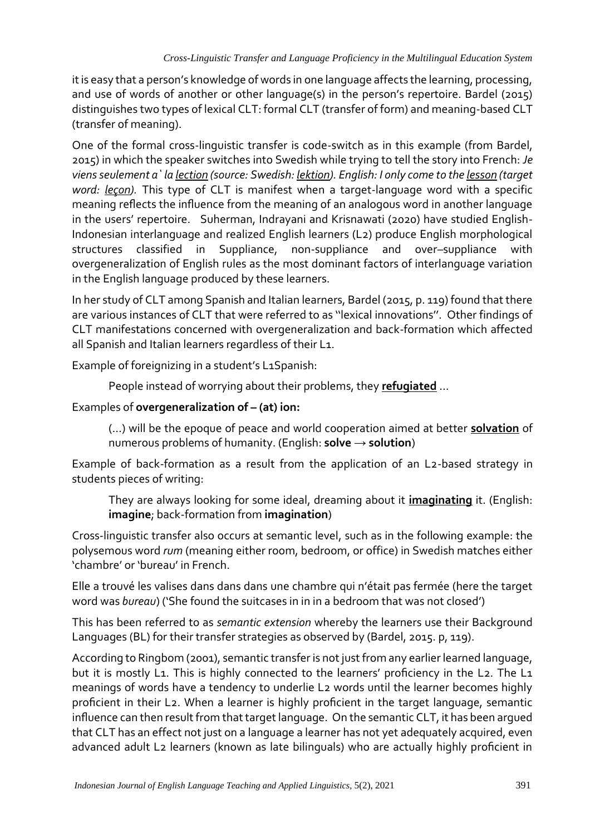it is easy that a person's knowledge of words in one language affects the learning, processing, and use of words of another or other language(s) in the person's repertoire. Bardel (2015) distinguishes two types of lexical CLT: formal CLT (transfer of form) and meaning-based CLT (transfer of meaning).

One of the formal cross-linguistic transfer is code-switch as in this example (from Bardel, 2015) in which the speaker switches into Swedish while trying to tell the story into French: *Je viens seulement a` la lection (source: Swedish: lektion). English: I only come to the lesson (target word: leçon).* This type of CLT is manifest when a target-language word with a specific meaning reflects the influence from the meaning of an analogous word in another language in the users' repertoire. Suherman, Indrayani and Krisnawati (2020) have studied English-Indonesian interlanguage and realized English learners (L2) produce English morphological structures classified in Suppliance, non-suppliance and over–suppliance with overgeneralization of English rules as the most dominant factors of interlanguage variation in the English language produced by these learners.

In her study of CLT among Spanish and Italian learners, Bardel (2015, p. 119) found that there are various instances of CLT that were referred to as ''lexical innovations''. Other findings of CLT manifestations concerned with overgeneralization and back-formation which affected all Spanish and Italian learners regardless of their L1.

Example of foreignizing in a student's L1Spanish:

People instead of worrying about their problems, they **refugiated** …

# Examples of **overgeneralization of – (at) ion:**

(…) will be the epoque of peace and world cooperation aimed at better **solvation** of numerous problems of humanity. (English: **solve → solution**)

Example of back-formation as a result from the application of an L2-based strategy in students pieces of writing:

They are always looking for some ideal, dreaming about it **imaginating** it. (English: **imagine**; back-formation from **imagination**)

Cross-linguistic transfer also occurs at semantic level, such as in the following example: the polysemous word *rum* (meaning either room, bedroom, or office) in Swedish matches either 'chambre' or 'bureau' in French.

Elle a trouvé les valises dans dans dans une chambre qui n'était pas fermée (here the target word was *bureau*) ('She found the suitcases in in in a bedroom that was not closed')

This has been referred to as *semantic extension* whereby the learners use their Background Languages (BL) for their transfer strategies as observed by (Bardel, 2015. p, 119).

According to Ringbom (2001), semantic transfer is not just from any earlier learned language, but it is mostly L1. This is highly connected to the learners' proficiency in the L2. The L1 meanings of words have a tendency to underlie L2 words until the learner becomes highly proficient in their L2. When a learner is highly proficient in the target language, semantic influence can then result from that target language. On the semantic CLT, it has been argued that CLT has an effect not just on a language a learner has not yet adequately acquired, even advanced adult L2 learners (known as late bilinguals) who are actually highly proficient in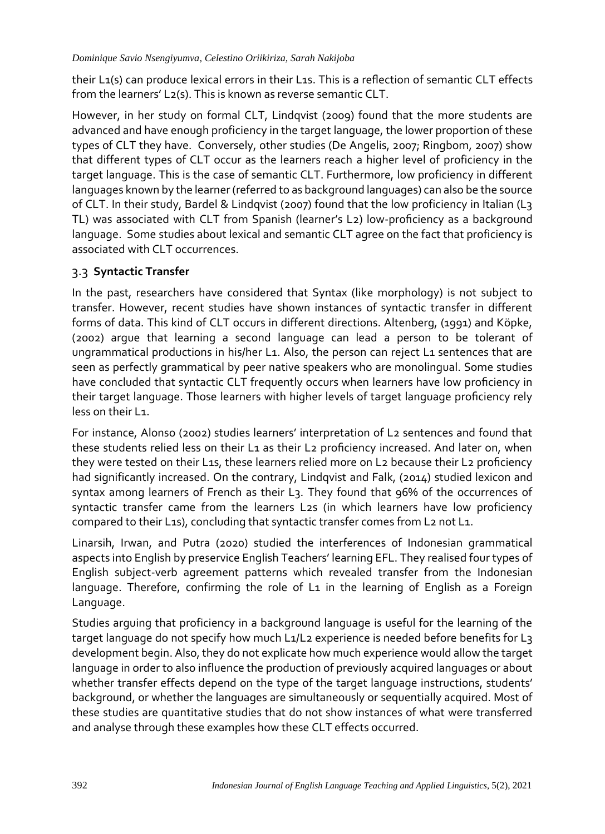their L1(s) can produce lexical errors in their L1s. This is a reflection of semantic CLT effects from the learners' L<sub>2</sub>(s). This is known as reverse semantic CLT.

However, in her study on formal CLT, Lindqvist (2009) found that the more students are advanced and have enough proficiency in the target language, the lower proportion of these types of CLT they have. Conversely, other studies (De Angelis, 2007; Ringbom, 2007) show that different types of CLT occur as the learners reach a higher level of proficiency in the target language. This is the case of semantic CLT. Furthermore, low proficiency in different languages known by the learner (referred to as background languages) can also be the source of CLT. In their study, Bardel & Lindqvist (2007) found that the low proficiency in Italian (L3 TL) was associated with CLT from Spanish (learner's L2) low-proficiency as a background language. Some studies about lexical and semantic CLT agree on the fact that proficiency is associated with CLT occurrences.

## 3.3 **Syntactic Transfer**

In the past, researchers have considered that Syntax (like morphology) is not subject to transfer. However, recent studies have shown instances of syntactic transfer in different forms of data. This kind of CLT occurs in different directions. Altenberg, (1991) and Köpke, (2002) argue that learning a second language can lead a person to be tolerant of ungrammatical productions in his/her L1. Also, the person can reject L1 sentences that are seen as perfectly grammatical by peer native speakers who are monolingual. Some studies have concluded that syntactic CLT frequently occurs when learners have low proficiency in their target language. Those learners with higher levels of target language proficiency rely less on their L1.

For instance, Alonso (2002) studies learners' interpretation of L2 sentences and found that these students relied less on their L1 as their L2 proficiency increased. And later on, when they were tested on their L1s, these learners relied more on L2 because their L2 proficiency had significantly increased. On the contrary, Lindqvist and Falk, (2014) studied lexicon and syntax among learners of French as their L3. They found that 96% of the occurrences of syntactic transfer came from the learners L2s (in which learners have low proficiency compared to their L1s), concluding that syntactic transfer comes from L2 not L1.

Linarsih, Irwan, and Putra (2020) studied the interferences of Indonesian grammatical aspects into English by preservice English Teachers' learning EFL. They realised four types of English subject-verb agreement patterns which revealed transfer from the Indonesian language. Therefore, confirming the role of L1 in the learning of English as a Foreign Language.

Studies arguing that proficiency in a background language is useful for the learning of the target language do not specify how much L1/L2 experience is needed before benefits for L3 development begin. Also, they do not explicate how much experience would allow the target language in order to also influence the production of previously acquired languages or about whether transfer effects depend on the type of the target language instructions, students' background, or whether the languages are simultaneously or sequentially acquired. Most of these studies are quantitative studies that do not show instances of what were transferred and analyse through these examples how these CLT effects occurred.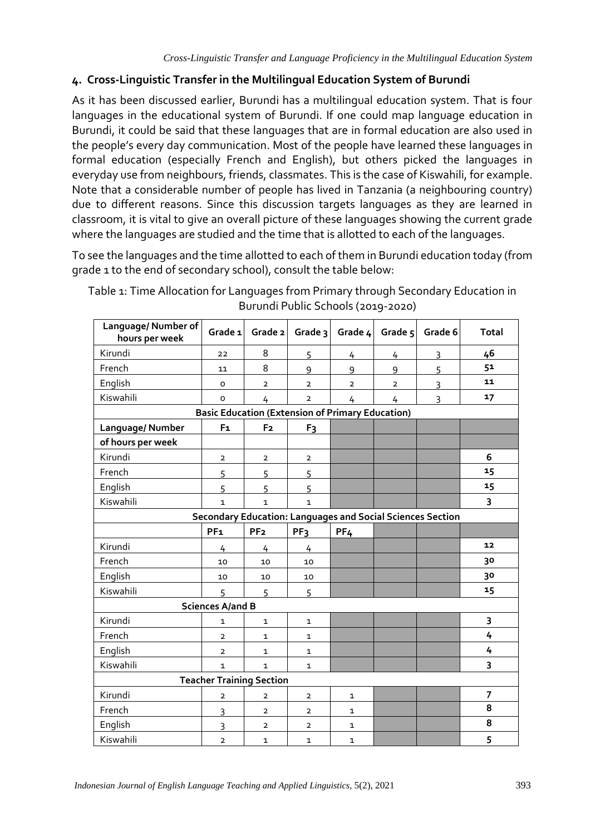# **4. Cross-Linguistic Transfer in the Multilingual Education System of Burundi**

As it has been discussed earlier, Burundi has a multilingual education system. That is four languages in the educational system of Burundi. If one could map language education in Burundi, it could be said that these languages that are in formal education are also used in the people's every day communication. Most of the people have learned these languages in formal education (especially French and English), but others picked the languages in everyday use from neighbours, friends, classmates. This is the case of Kiswahili, for example. Note that a considerable number of people has lived in Tanzania (a neighbouring country) due to different reasons. Since this discussion targets languages as they are learned in classroom, it is vital to give an overall picture of these languages showing the current grade where the languages are studied and the time that is allotted to each of the languages.

To see the languages and the time allotted to each of them in Burundi education today (from grade 1 to the end of secondary school), consult the table below:

| Language/ Number of<br>hours per week                   | Grade 1                 | Grade 2         | Grade 3         | Grade 4                                                           | Grade 5        | Grade 6 | <b>Total</b> |  |
|---------------------------------------------------------|-------------------------|-----------------|-----------------|-------------------------------------------------------------------|----------------|---------|--------------|--|
| Kirundi                                                 | 22                      | 8               | 5               | 4                                                                 | 4              | 3       | 46           |  |
| French                                                  | 11                      | 8               | 9               | 9                                                                 | 9              | 5       | 51           |  |
| English                                                 | $\circ$                 | $\overline{2}$  | $\overline{2}$  | $\overline{2}$                                                    | $\overline{2}$ | 3       | 11           |  |
| Kiswahili                                               | o                       | 4               | $\overline{2}$  | 4                                                                 | 4              | 3       | 17           |  |
| <b>Basic Education (Extension of Primary Education)</b> |                         |                 |                 |                                                                   |                |         |              |  |
| Language/Number                                         | F <sub>1</sub>          | F <sub>2</sub>  | F <sub>3</sub>  |                                                                   |                |         |              |  |
| of hours per week                                       |                         |                 |                 |                                                                   |                |         |              |  |
| Kirundi                                                 | $\overline{2}$          | $\mathbf{2}$    | $\mathbf{2}$    |                                                                   |                |         | 6            |  |
| French                                                  | 5                       | 5               | 5               |                                                                   |                |         | 15           |  |
| English                                                 | 5                       | 5               | 5               |                                                                   |                |         | 15           |  |
| Kiswahili                                               | $\mathbf 1$             | $\mathbf{1}$    | 1               |                                                                   |                |         | 3            |  |
|                                                         |                         |                 |                 | <b>Secondary Education: Languages and Social Sciences Section</b> |                |         |              |  |
|                                                         | PF <sub>1</sub>         | PF <sub>2</sub> | PF <sub>3</sub> | PF <sub>4</sub>                                                   |                |         |              |  |
| Kirundi                                                 | 4                       | 4               | 4               |                                                                   |                |         | 12           |  |
| French                                                  | 10                      | 10              | 10              |                                                                   |                |         | 30           |  |
| English                                                 | 10                      | 10              | 10              |                                                                   |                |         | 30           |  |
| Kiswahili                                               | 5                       | 5               | 5               |                                                                   |                |         | 15           |  |
|                                                         | <b>Sciences A/and B</b> |                 |                 |                                                                   |                |         |              |  |
| Kirundi                                                 | 1                       | $\mathbf{1}$    | 1               |                                                                   |                |         | 3            |  |
| French                                                  | $\mathbf{2}$            | $\mathbf{1}$    | 1               |                                                                   |                |         | 4            |  |
| English                                                 | $\overline{2}$          | $\mathbf{1}$    | $\mathbf{1}$    |                                                                   |                |         | 4            |  |
| Kiswahili                                               | $\mathbf{1}$            | $\mathbf{1}$    | $\mathbf{1}$    |                                                                   |                |         | 3            |  |
| <b>Teacher Training Section</b>                         |                         |                 |                 |                                                                   |                |         |              |  |
| Kirundi                                                 | $\overline{2}$          | $\overline{2}$  | $\overline{2}$  | $\mathbf{1}$                                                      |                |         | 7            |  |
| French                                                  | 3                       | $\overline{2}$  | $\overline{2}$  | $\mathbf{1}$                                                      |                |         | 8            |  |
| English                                                 | 3                       | $\overline{2}$  | $\overline{2}$  | $\mathbf{1}$                                                      |                |         | 8            |  |
| Kiswahili                                               | $\overline{2}$          | $\mathbf{1}$    | $\mathbf{1}$    | $\mathbf{1}$                                                      |                |         | 5            |  |

Table 1: Time Allocation for Languages from Primary through Secondary Education in Burundi Public Schools (2019-2020)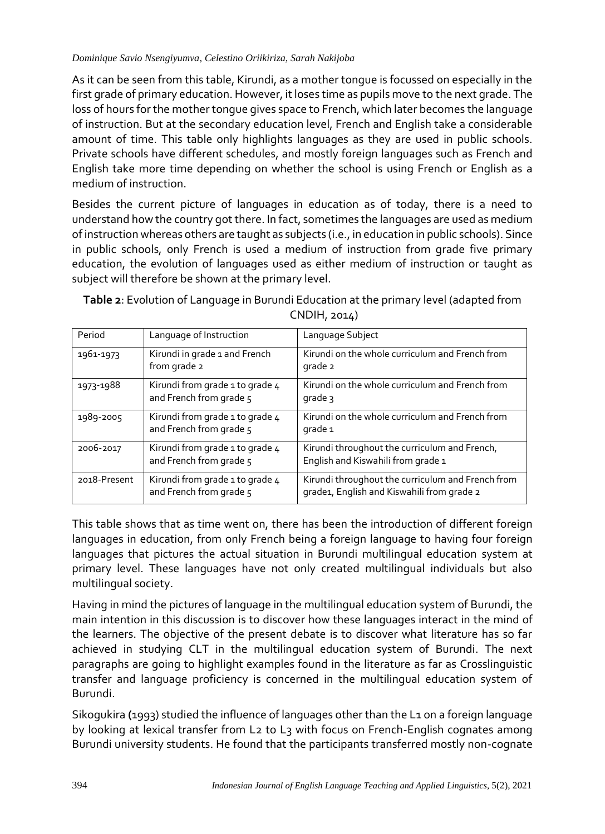As it can be seen from this table, Kirundi, as a mother tongue is focussed on especially in the first grade of primary education. However, it loses time as pupils move to the next grade. The loss of hours for the mother tongue gives space to French, which later becomes the language of instruction. But at the secondary education level, French and English take a considerable amount of time. This table only highlights languages as they are used in public schools. Private schools have different schedules, and mostly foreign languages such as French and English take more time depending on whether the school is using French or English as a medium of instruction.

Besides the current picture of languages in education as of today, there is a need to understand how the country got there. In fact, sometimes the languages are used as medium of instruction whereas others are taught as subjects (i.e., in education in public schools). Since in public schools, only French is used a medium of instruction from grade five primary education, the evolution of languages used as either medium of instruction or taught as subject will therefore be shown at the primary level.

| Period       | Language of Instruction                                    | Language Subject                                                                                |
|--------------|------------------------------------------------------------|-------------------------------------------------------------------------------------------------|
| 1961-1973    | Kirundi in grade 1 and French<br>from grade 2              | Kirundi on the whole curriculum and French from<br>grade 2                                      |
| 1973-1988    | Kirundi from grade 1 to grade 4<br>and French from grade 5 | Kirundi on the whole curriculum and French from<br>grade 3                                      |
| 1989-2005    | Kirundi from grade 1 to grade 4<br>and French from grade 5 | Kirundi on the whole curriculum and French from<br>grade 1                                      |
| 2006-2017    | Kirundi from grade 1 to grade 4<br>and French from grade 5 | Kirundi throughout the curriculum and French,<br>English and Kiswahili from grade 1             |
| 2018-Present | Kirundi from grade 1 to grade 4<br>and French from grade 5 | Kirundi throughout the curriculum and French from<br>grade1, English and Kiswahili from grade 2 |

**Table 2**: Evolution of Language in Burundi Education at the primary level (adapted from CNDIH, 2014)

This table shows that as time went on, there has been the introduction of different foreign languages in education, from only French being a foreign language to having four foreign languages that pictures the actual situation in Burundi multilingual education system at primary level. These languages have not only created multilingual individuals but also multilingual society.

Having in mind the pictures of language in the multilingual education system of Burundi, the main intention in this discussion is to discover how these languages interact in the mind of the learners. The objective of the present debate is to discover what literature has so far achieved in studying CLT in the multilingual education system of Burundi. The next paragraphs are going to highlight examples found in the literature as far as Crosslinguistic transfer and language proficiency is concerned in the multilingual education system of Burundi.

Sikogukira **(**1993) studied the influence of languages other than the L1 on a foreign language by looking at lexical transfer from L2 to L3 with focus on French-English cognates among Burundi university students. He found that the participants transferred mostly non-cognate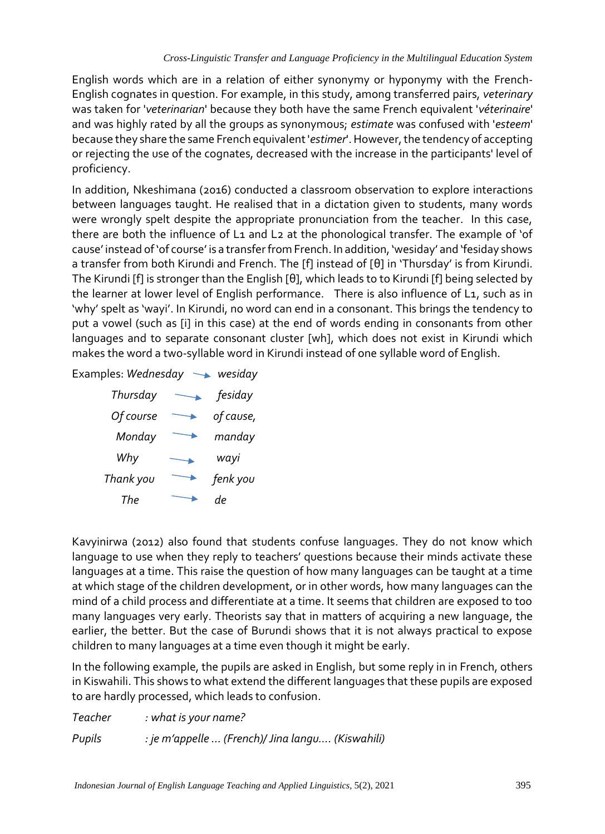English words which are in a relation of either synonymy or hyponymy with the French-English cognates in question. For example, in this study, among transferred pairs, *veterinary*  was taken for '*veterinarian*' because they both have the same French equivalent '*véterinaire*' and was highly rated by all the groups as synonymous; *estimate* was confused with '*esteem*' because they share the same French equivalent '*estimer*'. However, the tendency of accepting or rejecting the use of the cognates, decreased with the increase in the participants' level of proficiency.

In addition, Nkeshimana (2016) conducted a classroom observation to explore interactions between languages taught. He realised that in a dictation given to students, many words were wrongly spelt despite the appropriate pronunciation from the teacher. In this case, there are both the influence of L1 and L2 at the phonological transfer. The example of 'of cause' instead of 'of course' is a transfer from French. In addition, 'wesiday' and 'fesiday shows a transfer from both Kirundi and French. The [f] instead of [θ] in 'Thursday' is from Kirundi. The Kirundi [f] is stronger than the English [θ], which leads to to Kirundi [f] being selected by the learner at lower level of English performance. There is also influence of L1, such as in 'why' spelt as 'wayi'. In Kirundi, no word can end in a consonant. This brings the tendency to put a vowel (such as [i] in this case) at the end of words ending in consonants from other languages and to separate consonant cluster [wh], which does not exist in Kirundi which makes the word a two-syllable word in Kirundi instead of one syllable word of English.

Examples: *Wednesday* **With Algeria** 

| Thursday  | fesiday   |
|-----------|-----------|
| Of course | of cause, |
| Monday    | manday    |
| Why       | wayi      |
| Thank you | fenk you  |
| The       |           |

Kavyinirwa (2012) also found that students confuse languages. They do not know which language to use when they reply to teachers' questions because their minds activate these languages at a time. This raise the question of how many languages can be taught at a time at which stage of the children development, or in other words, how many languages can the mind of a child process and differentiate at a time. It seems that children are exposed to too many languages very early. Theorists say that in matters of acquiring a new language, the earlier, the better. But the case of Burundi shows that it is not always practical to expose children to many languages at a time even though it might be early.

In the following example, the pupils are asked in English, but some reply in in French, others in Kiswahili. This shows to what extend the different languages that these pupils are exposed to are hardly processed, which leads to confusion.

*Teacher : what is your name? Pupils : je m'appelle … (French)/ Jina langu…. (Kiswahili)*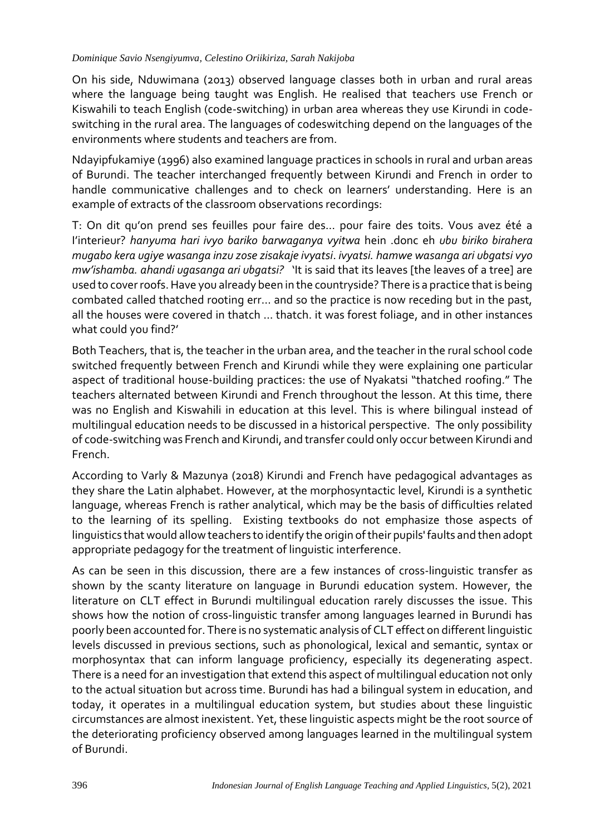On his side, Nduwimana (2013) observed language classes both in urban and rural areas where the language being taught was English. He realised that teachers use French or Kiswahili to teach English (code-switching) in urban area whereas they use Kirundi in codeswitching in the rural area. The languages of codeswitching depend on the languages of the environments where students and teachers are from.

Ndayipfukamiye (1996) also examined language practices in schools in rural and urban areas of Burundi. The teacher interchanged frequently between Kirundi and French in order to handle communicative challenges and to check on learners' understanding. Here is an example of extracts of the classroom observations recordings:

T: On dit qu'on prend ses feuilles pour faire des… pour faire des toits. Vous avez été a I'interieur? *hanyuma hari ivyo bariko barwaganya vyitwa* hein .donc eh *ubu biriko birahera mugabo kera ugiye wasanga inzu zose zisakaje ivyatsi*. *ivyatsi. hamwe wasanga ari ubgatsi vyo mw'ishamba. ahandi ugasanga ari ubgatsi?* 'It is said that its leaves [the leaves of a tree] are used to cover roofs. Have you already been in the countryside? There is a practice that is being combated called thatched rooting err… and so the practice is now receding but in the past, all the houses were covered in thatch ... thatch. it was forest foliage, and in other instances what could you find?'

Both Teachers, that is, the teacher in the urban area, and the teacher in the rural school code switched frequently between French and Kirundi while they were explaining one particular aspect of traditional house-building practices: the use of Nyakatsi "thatched roofing." The teachers alternated between Kirundi and French throughout the lesson. At this time, there was no English and Kiswahili in education at this level. This is where bilingual instead of multilingual education needs to be discussed in a historical perspective. The only possibility of code-switching was French and Kirundi, and transfer could only occur between Kirundi and French.

According to Varly & Mazunya (2018) Kirundi and French have pedagogical advantages as they share the Latin alphabet. However, at the morphosyntactic level, Kirundi is a synthetic language, whereas French is rather analytical, which may be the basis of difficulties related to the learning of its spelling. Existing textbooks do not emphasize those aspects of linguistics that would allow teachers to identify the origin of their pupils' faults and then adopt appropriate pedagogy for the treatment of linguistic interference.

As can be seen in this discussion, there are a few instances of cross-linguistic transfer as shown by the scanty literature on language in Burundi education system. However, the literature on CLT effect in Burundi multilingual education rarely discusses the issue. This shows how the notion of cross-linguistic transfer among languages learned in Burundi has poorly been accounted for. There is no systematic analysis of CLT effect on different linguistic levels discussed in previous sections, such as phonological, lexical and semantic, syntax or morphosyntax that can inform language proficiency, especially its degenerating aspect. There is a need for an investigation that extend this aspect of multilingual education not only to the actual situation but across time. Burundi has had a bilingual system in education, and today, it operates in a multilingual education system, but studies about these linguistic circumstances are almost inexistent. Yet, these linguistic aspects might be the root source of the deteriorating proficiency observed among languages learned in the multilingual system of Burundi.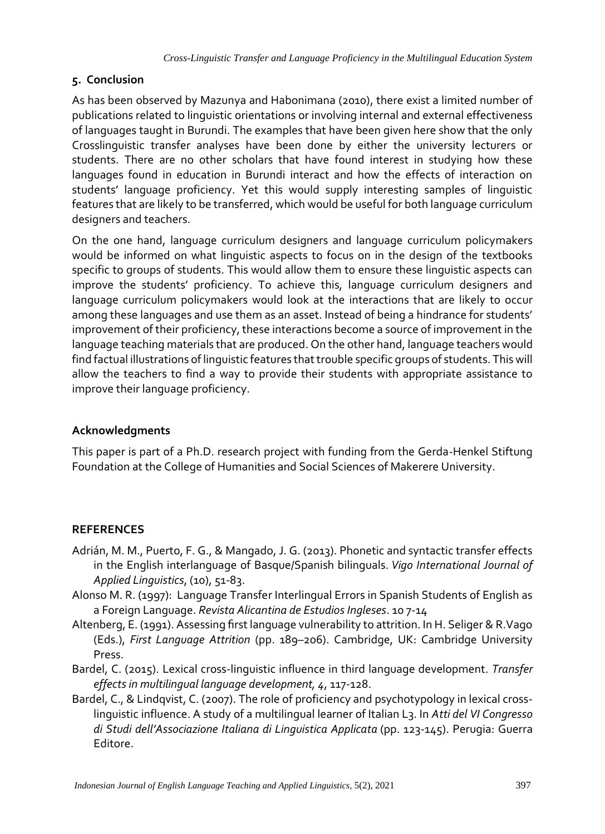# **5. Conclusion**

As has been observed by Mazunya and Habonimana (2010), there exist a limited number of publications related to linguistic orientations or involving internal and external effectiveness of languages taught in Burundi. The examples that have been given here show that the only Crosslinguistic transfer analyses have been done by either the university lecturers or students. There are no other scholars that have found interest in studying how these languages found in education in Burundi interact and how the effects of interaction on students' language proficiency. Yet this would supply interesting samples of linguistic features that are likely to be transferred, which would be useful for both language curriculum designers and teachers.

On the one hand, language curriculum designers and language curriculum policymakers would be informed on what linguistic aspects to focus on in the design of the textbooks specific to groups of students. This would allow them to ensure these linguistic aspects can improve the students' proficiency. To achieve this, language curriculum designers and language curriculum policymakers would look at the interactions that are likely to occur among these languages and use them as an asset. Instead of being a hindrance for students' improvement of their proficiency, these interactions become a source of improvement in the language teaching materials that are produced. On the other hand, language teachers would find factual illustrations of linguistic features that trouble specific groups of students. This will allow the teachers to find a way to provide their students with appropriate assistance to improve their language proficiency.

# **Acknowledgments**

This paper is part of a Ph.D. research project with funding from the Gerda-Henkel Stiftung Foundation at the College of Humanities and Social Sciences of Makerere University.

# **REFERENCES**

- Adrián, M. M., Puerto, F. G., & Mangado, J. G. (2013). Phonetic and syntactic transfer effects in the English interlanguage of Basque/Spanish bilinguals. *Vigo International Journal of Applied Linguistics*, (10), 51-83.
- Alonso M. R. (1997): Language Transfer Interlingual Errors in Spanish Students of English as a Foreign Language. *Revista Alicantina de Estudios Ingleses*. 10 7-14
- Altenberg, E. (1991). Assessing first language vulnerability to attrition. In H. Seliger & R.Vago (Eds.), *First Language Attrition* (pp. 189–206). Cambridge, UK: Cambridge University Press.
- Bardel, C. (2015). Lexical cross-linguistic influence in third language development. *Transfer effects in multilingual language development, 4*, 117-128.
- Bardel, C., & Lindqvist, C. (2007). The role of proficiency and psychotypology in lexical crosslinguistic influence. A study of a multilingual learner of Italian L3. In *Atti del VI Congresso di Studi dell'Associazione Italiana di Linguistica Applicata* (pp. 123-145). Perugia: Guerra Editore.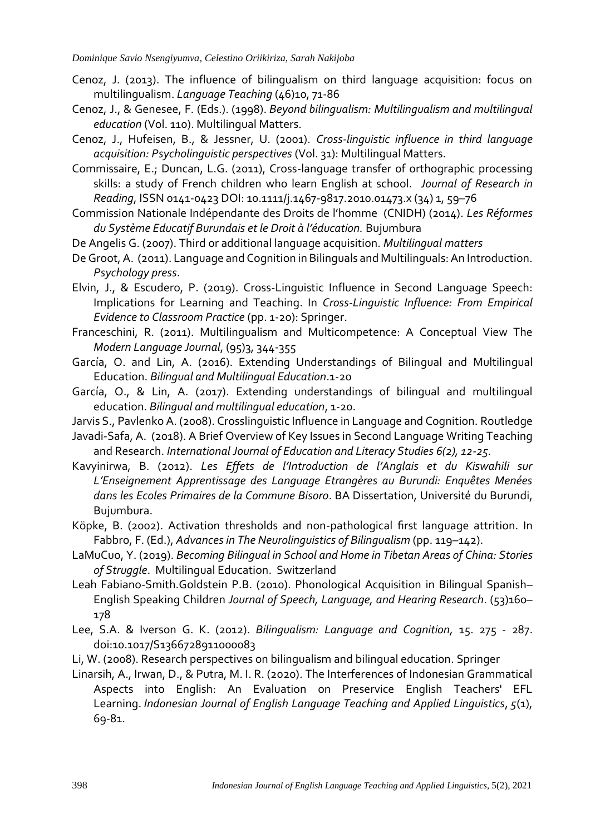- Cenoz, J. (2013). The influence of bilingualism on third language acquisition: focus on multilingualism. *Language Teaching* (46)10, 71-86
- Cenoz, J., & Genesee, F. (Eds.). (1998). *Beyond bilingualism: Multilingualism and multilingual education* (Vol. 110). Multilingual Matters.
- Cenoz, J., Hufeisen, B., & Jessner, U. (2001). *Cross-linguistic influence in third language acquisition: Psycholinguistic perspectives* (Vol. 31): Multilingual Matters.
- Commissaire, E.; Duncan, L.G. (2011), Cross-language transfer of orthographic processing skills: a study of French children who learn English at school. *Journal of Research in Reading*, ISSN 0141-0423 DOI: 10.1111/j.1467-9817.2010.01473.x (34) 1, 59–76
- Commission Nationale Indépendante des Droits de l'homme (CNIDH) (2014). *Les Réformes du Système Educatif Burundais et le Droit à l'éducation.* Bujumbura
- De Angelis G. (2007). Third or additional language acquisition. *Multilingual matters*
- De Groot, A. (2011). Language and Cognition in Bilinguals and Multilinguals: An Introduction. *Psychology press*.
- Elvin, J., & Escudero, P. (2019). Cross-Linguistic Influence in Second Language Speech: Implications for Learning and Teaching. In *Cross-Linguistic Influence: From Empirical Evidence to Classroom Practice* (pp. 1-20): Springer.
- Franceschini, R. (2011). Multilingualism and Multicompetence: A Conceptual View The *Modern Language Journal*, (95)3, 344-355
- García, O. and Lin, A. (2016). Extending Understandings of Bilingual and Multilingual Education. *Bilingual and Multilingual Education*.1-20
- García, O., & Lin, A. (2017). Extending understandings of bilingual and multilingual education. *Bilingual and multilingual education*, 1-20.
- Jarvis S., Pavlenko A. (2008). Crosslinguistic Influence in Language and Cognition. Routledge
- Javadi-Safa, A. (2018). A Brief Overview of Key Issues in Second Language Writing Teaching and Research. *International Journal of Education and Literacy Studies 6(2), 12-25.*
- Kavyinirwa, B. (2012). *Les Effets de l'Introduction de l'Anglais et du Kiswahili sur L'Enseignement Apprentissage des Language Etrangères au Burundi: Enquêtes Menées dans les Ecoles Primaires de la Commune Bisoro*. BA Dissertation, Université du Burundi, Bujumbura.
- Köpke, B. (2002). Activation thresholds and non-pathological first language attrition. In Fabbro, F. (Ed.), *Advances in The Neurolinguistics of Bilingualism* (pp. 119–142).
- LaMuCuo, Y. (2019). *Becoming Bilingual in School and Home in Tibetan Areas of China: Stories of Struggle*. Multilingual Education. Switzerland
- Leah Fabiano-Smith.Goldstein P.B. (2010). Phonological Acquisition in Bilingual Spanish– English Speaking Children *Journal of Speech, Language, and Hearing Research*. (53)160– 178
- Lee, S.A. & Iverson G. K. (2012). *Bilingualism: Language and Cognition,* 15. 275 287. doi:10.1017/S1366728911000083
- Li, W. (2008). Research perspectives on bilingualism and bilingual education. Springer
- Linarsih, A., Irwan, D., & Putra, M. I. R. (2020). The Interferences of Indonesian Grammatical Aspects into English: An Evaluation on Preservice English Teachers' EFL Learning. *Indonesian Journal of English Language Teaching and Applied Linguistics*, *5*(1), 69-81.